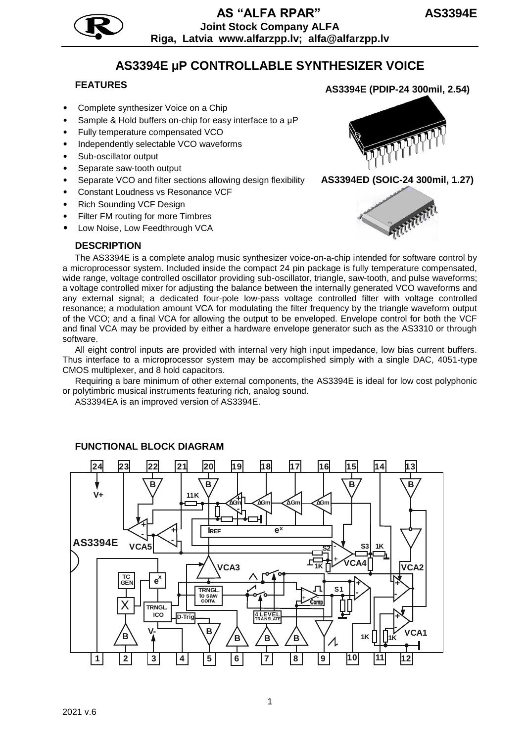

# **AS3394E µP CONTROLLABLE SYNTHESIZER VOICE**

- Complete synthesizer Voice on a Chip
- Sample & Hold buffers on-chip for easy interface to a µP
- Fully temperature compensated VCO
- Independently selectable VCO waveforms
- Sub-oscillator output
- Separate saw-tooth output
- Separate VCO and filter sections allowing design flexibility
- Constant Loudness vs Resonance VCF
- Rich Sounding VCF Design
- Filter FM routing for more Timbres
- Low Noise, Low Feedthrough VCA

#### **DESCRIPTION**



**AS3394ED (SOIC-24 300mil, 1.27)**



The AS3394E is a complete analog music synthesizer voice-on-a-chip intended for software control by a microprocessor system. Included inside the compact 24 pin package is fully temperature compensated, wide range, voltage controlled oscillator providing sub-oscillator, triangle, saw-tooth, and pulse waveforms; a voltage controlled mixer for adjusting the balance between the internally generated VCO waveforms and any external signal; a dedicated four-pole low-pass voltage controlled filter with voltage controlled resonance; a modulation amount VCA for modulating the filter frequency by the triangle waveform output of the VCO; and a final VCA for allowing the output to be enveloped. Envelope control for both the VCF and final VCA may be provided by either a hardware envelope generator such as the AS3310 or through software.

All eight control inputs are provided with internal very high input impedance, low bias current buffers. Thus interface to a microprocessor system may be accomplished simply with a single DAC, 4051-type CMOS multiplexer, and 8 hold capacitors.

Requiring a bare minimum of other external components, the AS3394E is ideal for low cost polyphonic or polytimbric musical instruments featuring rich, analog sound.

AS3394EA is an improved version of AS3394E.



#### **FUNCTIONAL BLOCK DIAGRAM**

**FEATURES AS3394E (PDIP-24 300mil, 2.54)**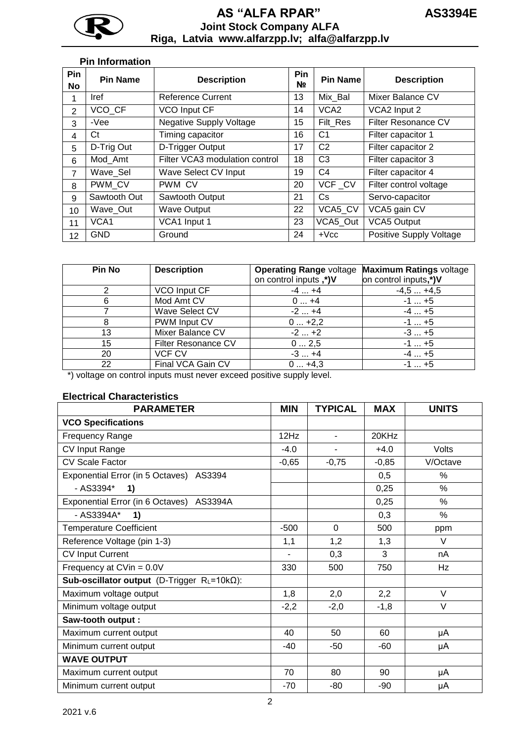

## **AS "АLFA RPAR" AS3394E Joint Stock Company ALFA Riga, Latvia www.alfarzpp.lv; alfa@alfarzpp.lv**

#### **Pin Information**

| Pin<br>No | <b>Pin Name</b> | <b>Description</b>             | Pin<br>Nº. | <b>Pin Name</b>  | <b>Description</b>      |
|-----------|-----------------|--------------------------------|------------|------------------|-------------------------|
|           | <b>Iref</b>     | Reference Current              | 13         | Mix Bal          | Mixer Balance CV        |
| 2         | VCO CF          | VCO Input CF                   | 14         | VCA <sub>2</sub> | VCA2 Input 2            |
| 3         | -Vee            | <b>Negative Supply Voltage</b> | 15         | Filt Res         | Filter Resonance CV     |
| 4         | Ct              | Timing capacitor               | 16         | C <sub>1</sub>   | Filter capacitor 1      |
| 5         | D-Trig Out      | D-Trigger Output               | 17         | C <sub>2</sub>   | Filter capacitor 2      |
| 6         | Mod Amt         | Filter VCA3 modulation control | 18         | C <sub>3</sub>   | Filter capacitor 3      |
| 7         | Wave Sel        | Wave Select CV Input           | 19         | C <sub>4</sub>   | Filter capacitor 4      |
| 8         | PWM CV          | PWM CV                         | 20         | VCF_CV           | Filter control voltage  |
| 9         | Sawtooth Out    | Sawtooth Output                | 21         | Cs.              | Servo-capacitor         |
| 10        | Wave Out        | <b>Wave Output</b>             | 22         | VCA5_CV          | VCA5 gain CV            |
| 11        | VCA1            | VCA1 Input 1                   | 23         | VCA5 Out         | <b>VCA5 Output</b>      |
| 12        | <b>GND</b>      | Ground                         | 24         | $+$ Vcc          | Positive Supply Voltage |

| Pin No | <b>Description</b>  | <b>Operating Range voltage</b> | <b>Maximum Ratings voltage</b> |
|--------|---------------------|--------------------------------|--------------------------------|
|        |                     | on control inputs,*)V          | on control inputs,*)V          |
|        | VCO Input CF        | $-4+4$                         | $-4,5+4,5$                     |
| 6      | Mod Amt CV          | $0+4$                          | $-1$ $+5$                      |
|        | Wave Select CV      | $-2+4$                         | $-4+5$                         |
|        | PWM Input CV        | $0+2,2$                        | $-1$ $+5$                      |
| 13     | Mixer Balance CV    | $-2+2$                         | $-3+5$                         |
| 15     | Filter Resonance CV | 02,5                           | $-1$ $+5$                      |
| 20     | VCF CV              | $-3+4$                         | $-4+5$                         |
| 22     | Final VCA Gain CV   | $0+4,3$                        | $-1$ $+5$                      |

\*) voltage on control inputs must never exceed positive supply level.

## **Electrical Characteristics**

| <b>PARAMETER</b>                                      |         | <b>TYPICAL</b> | <b>MAX</b> | <b>UNITS</b> |
|-------------------------------------------------------|---------|----------------|------------|--------------|
| <b>VCO Specifications</b>                             |         |                |            |              |
| <b>Frequency Range</b>                                | 12Hz    | $\blacksquare$ | 20KHz      |              |
| CV Input Range                                        | $-4.0$  | ٠              | $+4.0$     | Volts        |
| <b>CV Scale Factor</b>                                | $-0,65$ | $-0,75$        | $-0,85$    | V/Octave     |
| Exponential Error (in 5 Octaves) AS3394               |         |                | 0,5        | $\%$         |
| - AS3394*<br>1)                                       |         |                | 0,25       | %            |
| Exponential Error (in 6 Octaves) AS3394A              |         |                | 0,25       | %            |
| - AS3394A*<br>1)                                      |         |                | 0,3        | $\%$         |
| <b>Temperature Coefficient</b>                        | $-500$  | $\Omega$       | 500        | ppm          |
| Reference Voltage (pin 1-3)                           | 1,1     | 1,2            | 1,3        | $\vee$       |
| <b>CV Input Current</b>                               |         | 0,3            | 3          | nA           |
| Frequency at CVin = 0.0V                              | 330     | 500            | 750        | Hz           |
| Sub-oscillator output (D-Trigger $R_L = 10k\Omega$ ): |         |                |            |              |
| Maximum voltage output                                | 1,8     | 2,0            | 2,2        | $\vee$       |
| Minimum voltage output                                | $-2,2$  | $-2,0$         | $-1,8$     | $\vee$       |
| Saw-tooth output :                                    |         |                |            |              |
| Maximum current output                                | 40      | 50             | 60         | μA           |
| Minimum current output                                | $-40$   | $-50$          | $-60$      | μA           |
| <b>WAVE OUTPUT</b>                                    |         |                |            |              |
| Maximum current output                                | 70      | 80             | 90         | μA           |
| Minimum current output                                | -70     | $-80$          | -90        | μA           |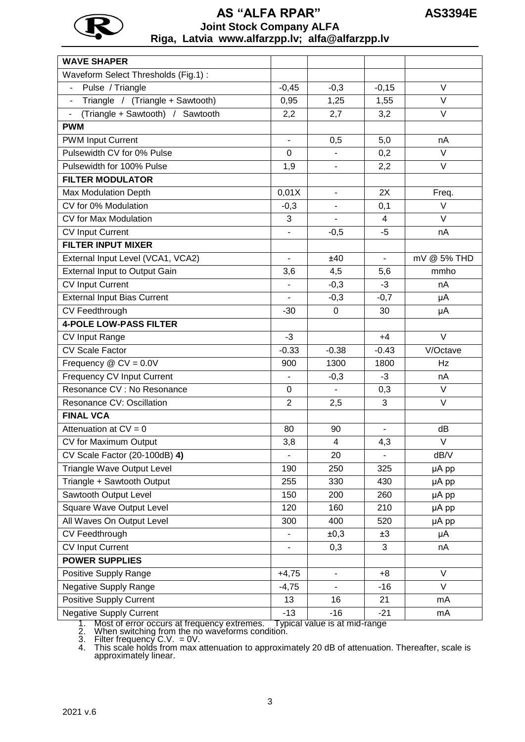

## **AS "АLFA RPAR" AS3394E Joint Stock Company ALFA Riga, Latvia www.alfarzpp.lv; alfa@alfarzpp.lv**

| <b>WAVE SHAPER</b>                                                 |                          |                          |                          |             |
|--------------------------------------------------------------------|--------------------------|--------------------------|--------------------------|-------------|
| Waveform Select Thresholds (Fig.1):                                |                          |                          |                          |             |
| Pulse / Triangle                                                   | $-0,45$                  | $-0,3$                   | $-0,15$                  | $\vee$      |
| Triangle / (Triangle + Sawtooth)<br>$\blacksquare$                 | 0,95                     | 1,25                     | 1,55                     | $\vee$      |
| Triangle + Sawtooth) /<br>Sawtooth<br>$\qquad \qquad \blacksquare$ | 2,2                      | 2,7                      | 3,2                      | $\vee$      |
| <b>PWM</b>                                                         |                          |                          |                          |             |
| <b>PWM Input Current</b>                                           | $\overline{\phantom{a}}$ | 0,5                      | 5,0                      | nA          |
| Pulsewidth CV for 0% Pulse                                         | $\Omega$                 | $\blacksquare$           | 0,2                      | $\vee$      |
| Pulsewidth for 100% Pulse                                          | 1,9                      | $\blacksquare$           | 2,2                      | $\vee$      |
| <b>FILTER MODULATOR</b>                                            |                          |                          |                          |             |
| <b>Max Modulation Depth</b>                                        | 0,01X                    | $\blacksquare$           | 2X                       | Freq.       |
| CV for 0% Modulation                                               | $-0,3$                   | $\blacksquare$           | 0,1                      | $\vee$      |
| CV for Max Modulation                                              | 3                        | $\overline{\phantom{a}}$ | $\overline{4}$           | $\vee$      |
| <b>CV Input Current</b>                                            | $\overline{\phantom{a}}$ | $-0,5$                   | $-5$                     | nA          |
| <b>FILTER INPUT MIXER</b>                                          |                          |                          |                          |             |
| External Input Level (VCA1, VCA2)                                  | $\overline{\phantom{a}}$ | ±40                      | $\blacksquare$           | mV @ 5% THD |
| <b>External Input to Output Gain</b>                               | 3,6                      | 4,5                      | 5,6                      | mmho        |
| <b>CV Input Current</b>                                            | $\blacksquare$           | $-0,3$                   | $-3$                     | nA          |
| <b>External Input Bias Current</b>                                 |                          | $-0,3$                   | $-0,7$                   | μA          |
| CV Feedthrough                                                     | $-30$                    | $\mathbf 0$              | 30                       | μA          |
| <b>4-POLE LOW-PASS FILTER</b>                                      |                          |                          |                          |             |
| CV Input Range                                                     | $-3$                     |                          | $+4$                     | $\vee$      |
| <b>CV Scale Factor</b>                                             | $-0.33$                  | $-0.38$                  | $-0.43$                  | V/Octave    |
| Frequency $\textcircled{c}$ CV = 0.0V                              | 900                      | 1300                     | 1800                     | Hz          |
| Frequency CV Input Current                                         |                          | $-0,3$                   | $-3$                     | nA          |
| Resonance CV : No Resonance                                        | 0                        | $\blacksquare$           | 0,3                      | V           |
| Resonance CV: Oscillation                                          | $\overline{2}$           | 2,5                      | 3                        | $\vee$      |
| <b>FINAL VCA</b>                                                   |                          |                          |                          |             |
| Attenuation at $CV = 0$                                            | 80                       | 90                       | $\overline{\phantom{0}}$ | dB          |
| CV for Maximum Output                                              | 3,8                      | 4                        | 4,3                      | V           |
| CV Scale Factor (20-100dB) 4)                                      |                          | 20                       |                          | dB/V        |
| <b>Triangle Wave Output Level</b>                                  | 190                      | 250                      | 325                      | µA pp       |
| Triangle + Sawtooth Output                                         | 255                      | 330                      | 430                      | µA pp       |
| Sawtooth Output Level                                              | 150                      | 200                      | 260                      | µA pp       |
| Square Wave Output Level                                           | 120                      | 160                      | 210                      | µA pp       |
| All Waves On Output Level                                          | 300                      | 400                      | 520                      | µA pp       |
| CV Feedthrough                                                     | $\overline{\phantom{0}}$ | ±0,3                     | ±3                       | μA          |
| <b>CV Input Current</b>                                            | $\overline{\phantom{0}}$ | 0,3                      | 3                        | nA          |
| <b>POWER SUPPLIES</b>                                              |                          |                          |                          |             |
| Positive Supply Range                                              | $+4,75$                  | $\overline{\phantom{a}}$ | $+8$                     | $\vee$      |
| Negative Supply Range                                              | $-4,75$                  | $\blacksquare$           | $-16$                    | V           |
| <b>Positive Supply Current</b>                                     | 13                       | 16                       | 21                       | mA          |
| <b>Negative Supply Current</b>                                     | $-13$                    | $-16$                    | $-21$                    | mA          |

1. Most of error occurs at frequency extremes. Typical value is at mid-range

2. When switching from the no waveforms condition.

3. Filter frequency C.V. = 0V.

<sup>4.</sup> This scale holds from max attenuation to approximately 20 dB of attenuation. Thereafter, scale is approximately linear.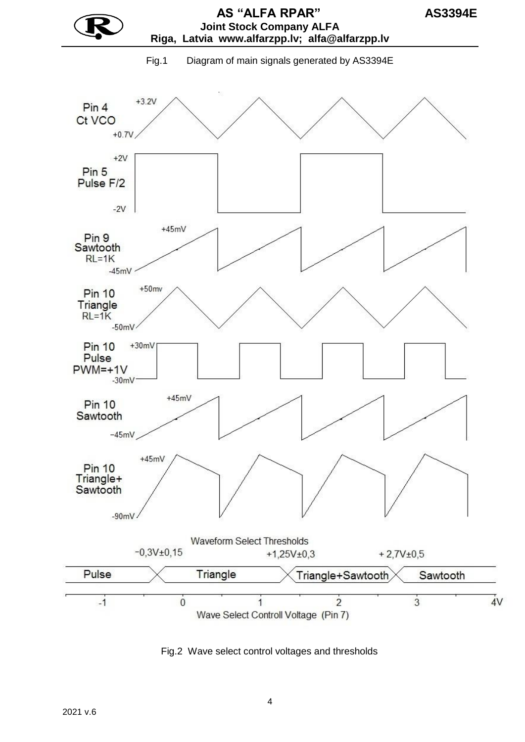

Fig.2 Wave select control voltages and thresholds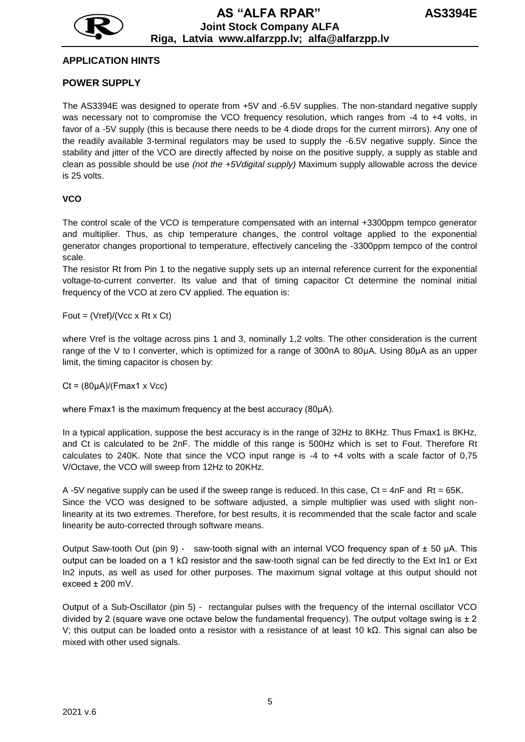

#### **APPLICATION HINTS**

#### **POWER SUPPLY**

The AS3394E was designed to operate from +5V and -6.5V supplies. The non-standard negative supply was necessary not to compromise the VCO frequency resolution, which ranges from -4 to +4 volts, in favor of a -5V supply (this is because there needs to be 4 diode drops for the current mirrors). Any one of the readily available 3-terminal regulators may be used to supply the -6.5V negative supply. Since the stability and jitter of the VCO are directly affected by noise on the positive supply, a supply as stable and clean as possible should be use *(not the +5Vdigital supply)* Maximum supply allowable across the device is 25 volts.

#### **VCO**

The control scale of the VCO is temperature compensated with an internal +3300ppm tempco generator and multiplier. Thus, as chip temperature changes, the control voltage applied to the exponential generator changes proportional to temperature, effectively canceling the -3300ppm tempco of the control scale.

The resistor Rt from Pin 1 to the negative supply sets up an internal reference current for the exponential voltage-to-current converter. Its value and that of timing capacitor Ct determine the nominal initial frequency of the VCO at zero CV applied. The equation is:

Fout =  $(Vref)/(Vcc \times Rt \times Ct)$ 

where Vref is the voltage across pins 1 and 3, nominally 1,2 volts. The other consideration is the current range of the V to I converter, which is optimized for a range of 300nA to 80µA. Using 80µA as an upper limit, the timing capacitor is chosen by:

 $Ct = (80<sub>u</sub>A)/(Fmax1 x Vcc)$ 

where Fmax1 is the maximum frequency at the best accuracy (80µA).

In a typical application, suppose the best accuracy is in the range of 32Hz to 8KHz. Thus Fmax1 is 8KHz, and Ct is calculated to be 2nF. The middle of this range is 500Hz which is set to Fout. Therefore Rt calculates to 240K. Note that since the VCO input range is -4 to +4 volts with a scale factor of 0,75 V/Octave, the VCO will sweep from 12Hz to 20KHz.

A -5V negative supply can be used if the sweep range is reduced. In this case,  $Ct = 4nF$  and Rt = 65K. Since the VCO was designed to be software adjusted, a simple multiplier was used with slight nonlinearity at its two extremes. Therefore, for best results, it is recommended that the scale factor and scale linearity be auto-corrected through software means.

Output Saw-tooth Out (pin 9) - saw-tooth signal with an internal VCO frequency span of  $\pm$  50 µA. This output can be loaded on a 1 kΩ resistor and the saw-tooth signal can be fed directly to the Ext In1 or Ext In2 inputs, as well as used for other purposes. The maximum signal voltage at this output should not exceed ± 200 mV.

Output of a Sub-Oscillator (pin 5) - rectangular pulses with the frequency of the internal oscillator VCO divided by 2 (square wave one octave below the fundamental frequency). The output voltage swing is  $\pm 2$ V; this output can be loaded onto a resistor with a resistance of at least 10 kΩ. This signal can also be mixed with other used signals.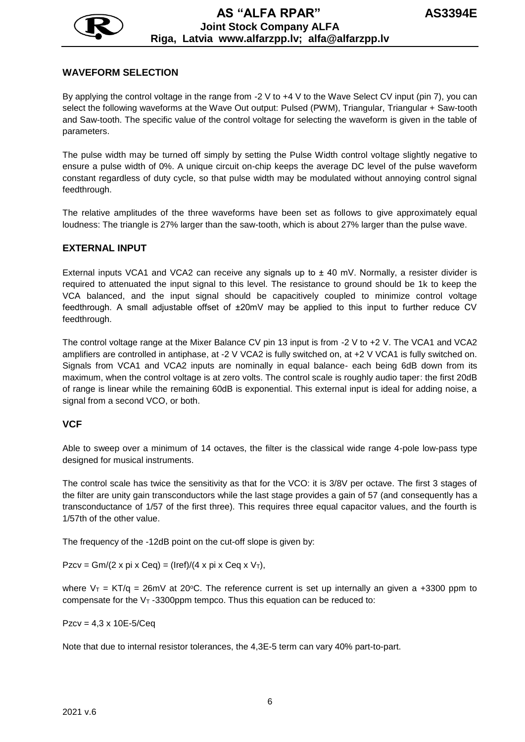

## **WAVEFORM SELECTION**

By applying the control voltage in the range from -2 V to +4 V to the Wave Select CV input (pin 7), you can select the following waveforms at the Wave Out output: Pulsed (PWM), Triangular, Triangular + Saw-tooth and Saw-tooth. The specific value of the control voltage for selecting the waveform is given in the table of parameters.

The pulse width may be turned off simply by setting the Pulse Width control voltage slightly negative to ensure a pulse width of 0%. A unique circuit on-chip keeps the average DC level of the pulse waveform constant regardless of duty cycle, so that pulse width may be modulated without annoying control signal feedthrough.

The relative amplitudes of the three waveforms have been set as follows to give approximately equal loudness: The triangle is 27% larger than the saw-tooth, which is about 27% larger than the pulse wave.

#### **EXTERNAL INPUT**

External inputs VCA1 and VCA2 can receive any signals up to  $\pm$  40 mV. Normally, a resister divider is required to attenuated the input signal to this level. The resistance to ground should be 1k to keep the VCA balanced, and the input signal should be capacitively coupled to minimize control voltage feedthrough. A small adjustable offset of ±20mV may be applied to this input to further reduce CV feedthrough.

The control voltage range at the Mixer Balance CV pin 13 input is from -2 V to +2 V. The VCA1 and VCA2 amplifiers are controlled in antiphase, at -2 V VCA2 is fully switched on, at +2 V VCA1 is fully switched on. Signals from VCA1 and VCA2 inputs are nominally in equal balance- each being 6dB down from its maximum, when the control voltage is at zero volts. The control scale is roughly audio taper: the first 20dB of range is linear while the remaining 60dB is exponential. This external input is ideal for adding noise, a signal from a second VCO, or both.

#### **VCF**

Able to sweep over a minimum of 14 octaves, the filter is the classical wide range 4-pole low-pass type designed for musical instruments.

The control scale has twice the sensitivity as that for the VCO: it is 3/8V per octave. The first 3 stages of the filter are unity gain transconductors while the last stage provides a gain of 57 (and consequently has a transconductance of 1/57 of the first three). This requires three equal capacitor values, and the fourth is 1/57th of the other value.

The frequency of the -12dB point on the cut-off slope is given by:

Pzcv = Gm/(2 x pi x Ceq) = (Iref)/(4 x pi x Ceq x  $V_T$ ),

where  $V_T = KT/q = 26mV$  at 20°C. The reference current is set up internally an given a +3300 ppm to compensate for the  $V_T$ -3300ppm tempco. Thus this equation can be reduced to:

Pzcv = 4,3 x 10E-5/Ceq

Note that due to internal resistor tolerances, the 4,3E-5 term can vary 40% part-to-part.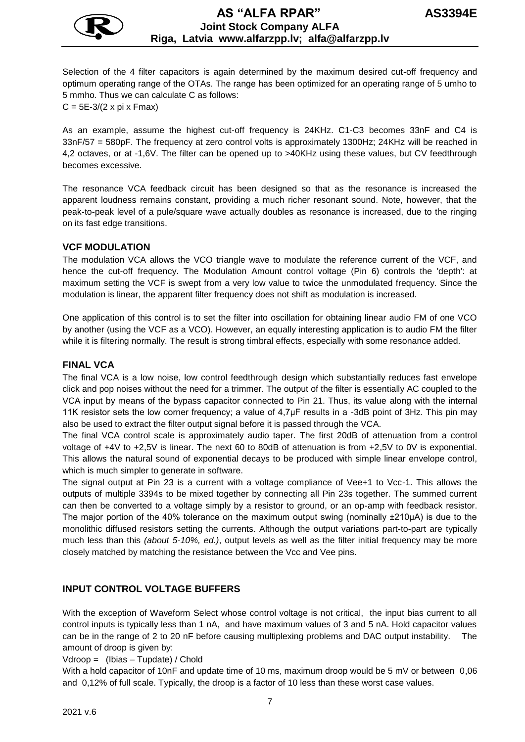

Selection of the 4 filter capacitors is again determined by the maximum desired cut-off frequency and optimum operating range of the OTAs. The range has been optimized for an operating range of 5 umho to 5 mmho. Thus we can calculate C as follows:  $C = 5E-3/(2 \times pi \times Fmax)$ 

As an example, assume the highest cut-off frequency is 24KHz. C1-C3 becomes 33nF and C4 is 33nF/57 = 580pF. The frequency at zero control volts is approximately 1300Hz; 24KHz will be reached in 4,2 octaves, or at -1,6V. The filter can be opened up to >40KHz using these values, but CV feedthrough becomes excessive.

The resonance VCA feedback circuit has been designed so that as the resonance is increased the apparent loudness remains constant, providing a much richer resonant sound. Note, however, that the peak-to-peak level of a pule/square wave actually doubles as resonance is increased, due to the ringing on its fast edge transitions.

#### **VCF MODULATION**

The modulation VCA allows the VCO triangle wave to modulate the reference current of the VCF, and hence the cut-off frequency. The Modulation Amount control voltage (Pin 6) controls the 'depth': at maximum setting the VCF is swept from a very low value to twice the unmodulated frequency. Since the modulation is linear, the apparent filter frequency does not shift as modulation is increased.

One application of this control is to set the filter into oscillation for obtaining linear audio FM of one VCO by another (using the VCF as a VCO). However, an equally interesting application is to audio FM the filter while it is filtering normally. The result is strong timbral effects, especially with some resonance added.

#### **FINAL VCA**

The final VCA is a low noise, low control feedthrough design which substantially reduces fast envelope click and pop noises without the need for a trimmer. The output of the filter is essentially AC coupled to the VCA input by means of the bypass capacitor connected to Pin 21. Thus, its value along with the internal 11K resistor sets the low corner frequency; a value of 4,7µF results in a -3dB point of 3Hz. This pin may also be used to extract the filter output signal before it is passed through the VCA.

The final VCA control scale is approximately audio taper. The first 20dB of attenuation from a control voltage of +4V to +2,5V is linear. The next 60 to 80dB of attenuation is from +2,5V to 0V is exponential. This allows the natural sound of exponential decays to be produced with simple linear envelope control, which is much simpler to generate in software.

The signal output at Pin 23 is a current with a voltage compliance of Vee+1 to Vcc-1. This allows the outputs of multiple 3394s to be mixed together by connecting all Pin 23s together. The summed current can then be converted to a voltage simply by a resistor to ground, or an op-amp with feedback resistor. The major portion of the 40% tolerance on the maximum output swing (nominally  $\pm 210\mu$ A) is due to the monolithic diffused resistors setting the currents. Although the output variations part-to-part are typically much less than this *(about 5-10%, ed.)*, output levels as well as the filter initial frequency may be more closely matched by matching the resistance between the Vcc and Vee pins.

#### **INPUT CONTROL VOLTAGE BUFFERS**

With the exception of Waveform Select whose control voltage is not critical, the input bias current to all control inputs is typically less than 1 nA, and have maximum values of 3 and 5 nA. Hold capacitor values can be in the range of 2 to 20 nF before causing multiplexing problems and DAC output instability. amount of droop is given by:

#### Vdroop = (Ibias – Tupdate) / Chold

With a hold capacitor of 10nF and update time of 10 ms, maximum droop would be 5 mV or between 0,06 and 0,12% of full scale. Typically, the droop is a factor of 10 less than these worst case values.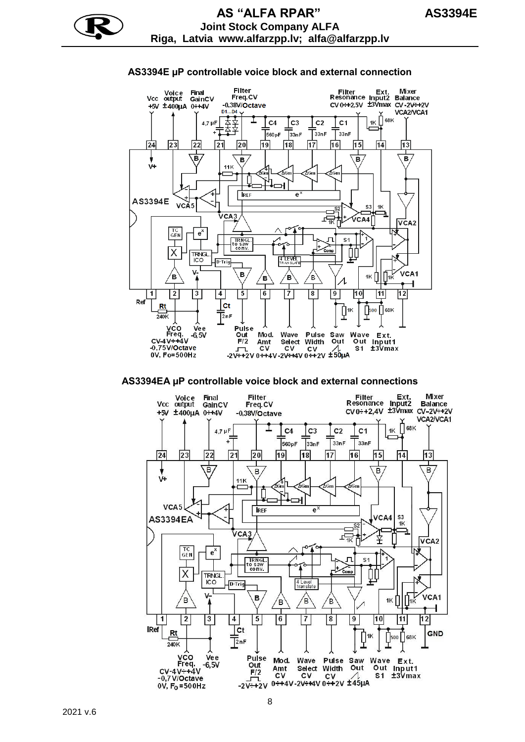## **AS3394E µP controllable voice block and external connection**



#### **AS3394EA µP controllable voice block and external connections**